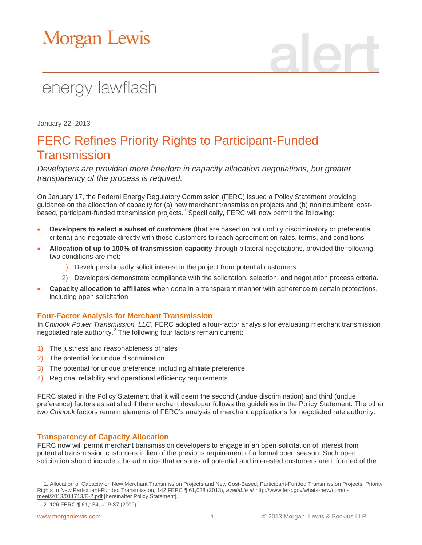# Morgan Lewis

## energy lawflash

January 22, 2013

### FERC Refines Priority Rights to Participant-Funded **Transmission**

*Developers are provided more freedom in capacity allocation negotiations, but greater transparency of the process is required.*

On January 17, the Federal Energy Regulatory Commission (FERC) issued a Policy Statement providing guidance on the allocation of capacity for (a) new merchant transmission projects and (b) nonincumbent, cost-based, participant-funded transmission projects.<sup>[1](#page-0-0)</sup> Specifically, FERC will now permit the following:

- **Developers to select a subset of customers** (that are based on not unduly discriminatory or preferential criteria) and negotiate directly with those customers to reach agreement on rates, terms, and conditions
- **Allocation of up to 100% of transmission capacity** through bilateral negotiations, provided the following two conditions are met:
	- 1) Developers broadly solicit interest in the project from potential customers.
	- 2) Developers demonstrate compliance with the solicitation, selection, and negotiation process criteria.
- **Capacity allocation to affiliates** when done in a transparent manner with adherence to certain protections, including open solicitation

#### **Four-Factor Analysis for Merchant Transmission**

In *Chinook Power Transmission, LLC*, FERC adopted a four-factor analysis for evaluating merchant transmission negotiated rate authority.<sup>[2](#page-0-1)</sup> The following four factors remain current:

- 1) The justness and reasonableness of rates
- 2) The potential for undue discrimination
- 3) The potential for undue preference, including affiliate preference
- 4) Regional reliability and operational efficiency requirements

FERC stated in the Policy Statement that it will deem the second (undue discrimination) and third (undue preference) factors as satisfied if the merchant developer follows the guidelines in the Policy Statement. The other two *Chinook* factors remain elements of FERC's analysis of merchant applications for negotiated rate authority.

#### **Transparency of Capacity Allocation**

FERC now will permit merchant transmission developers to engage in an open solicitation of interest from potential transmission customers in lieu of the previous requirement of a formal open season. Such open solicitation should include a broad notice that ensures all potential and interested customers are informed of the

<span id="page-0-0"></span> $\overline{a}$ 1. Allocation of Capacity on New Merchant Transmission Projects and New Cost-Based, Participant-Funded Transmission Projects: Priority Rights to New Participant-Funded Transmission, 142 FERC ¶ 61,038 (2013), *available at* [http://www.ferc.gov/whats-new/comm](http://www.ferc.gov/whats-new/comm-meet/2013/011713/E-2.pdf)[meet/2013/011713/E-2.pdf](http://www.ferc.gov/whats-new/comm-meet/2013/011713/E-2.pdf) [hereinafter Policy Statement].

<span id="page-0-1"></span><sup>2. 126</sup> FERC ¶ 61,134, at P 37 (2009).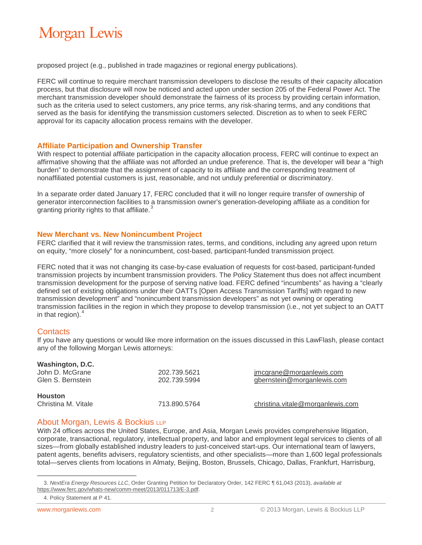## **Morgan Lewis**

proposed project (e.g., published in trade magazines or regional energy publications).

FERC will continue to require merchant transmission developers to disclose the results of their capacity allocation process, but that disclosure will now be noticed and acted upon under section 205 of the Federal Power Act. The merchant transmission developer should demonstrate the fairness of its process by providing certain information, such as the criteria used to select customers, any price terms, any risk-sharing terms, and any conditions that served as the basis for identifying the transmission customers selected. Discretion as to when to seek FERC approval for its capacity allocation process remains with the developer.

#### **Affiliate Participation and Ownership Transfer**

With respect to potential affiliate participation in the capacity allocation process, FERC will continue to expect an affirmative showing that the affiliate was not afforded an undue preference. That is, the developer will bear a "high burden" to demonstrate that the assignment of capacity to its affiliate and the corresponding treatment of nonaffiliated potential customers is just, reasonable, and not unduly preferential or discriminatory.

In a separate order dated January 17, FERC concluded that it will no longer require transfer of ownership of generator interconnection facilities to a transmission owner's generation-developing affiliate as a condition for granting priority rights to that affiliate. $3$ 

#### **New Merchant vs. New Nonincumbent Project**

FERC clarified that it will review the transmission rates, terms, and conditions, including any agreed upon return on equity, "more closely" for a nonincumbent, cost-based, participant-funded transmission project.

FERC noted that it was not changing its case-by-case evaluation of requests for cost-based, participant-funded transmission projects by incumbent transmission providers. The Policy Statement thus does not affect incumbent transmission development for the purpose of serving native load. FERC defined "incumbents" as having a "clearly defined set of existing obligations under their OATTs [Open Access Transmission Tariffs] with regard to new transmission development" and "nonincumbent transmission developers" as not yet owning or operating transmission facilities in the region in which they propose to develop transmission (i.e., not yet subject to an OATT in that region). $<sup>4</sup>$  $<sup>4</sup>$  $<sup>4</sup>$ </sup>

#### **Contacts**

If you have any questions or would like more information on the issues discussed in this LawFlash, please contact any of the following Morgan Lewis attorneys:

| Washington, D.C.    |              |                                  |
|---------------------|--------------|----------------------------------|
| John D. McGrane     | 202.739.5621 | jmcgrane@morganlewis.com         |
| Glen S. Bernstein   | 202.739.5994 | gbernstein@morganlewis.com       |
| <b>Houston</b>      |              |                                  |
| Christina M. Vitale | 713.890.5764 | christina.vitale@morganlewis.com |
|                     |              |                                  |

#### About Morgan, Lewis & Bockius LLP

With 24 offices across the United States, Europe, and Asia, Morgan Lewis provides comprehensive litigation, corporate, transactional, regulatory, intellectual property, and labor and employment legal services to clients of all sizes—from globally established industry leaders to just-conceived start-ups. Our international team of lawyers, patent agents, benefits advisers, regulatory scientists, and other specialists—more than 1,600 legal professionals total—serves clients from locations in Almaty, Beijing, Boston, Brussels, Chicago, Dallas, Frankfurt, Harrisburg,

<span id="page-1-0"></span> $\overline{a}$ 3. *NextEra Energy Resources LLC*, Order Granting Petition for Declaratory Order, 142 FERC ¶ 61,043 (2013), *available at*  [https://www.ferc.gov/whats-new/comm-meet/2013/011713/E-3.pdf.](https://www.ferc.gov/whats-new/comm-meet/2013/011713/E-3.pdf)

<span id="page-1-1"></span><sup>4.</sup> Policy Statement at P 41.